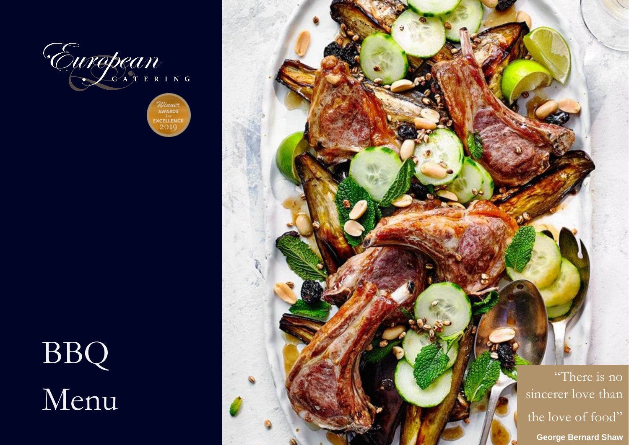

Winner<br>AWARDS EXCELLENCE

## BBQ Menu

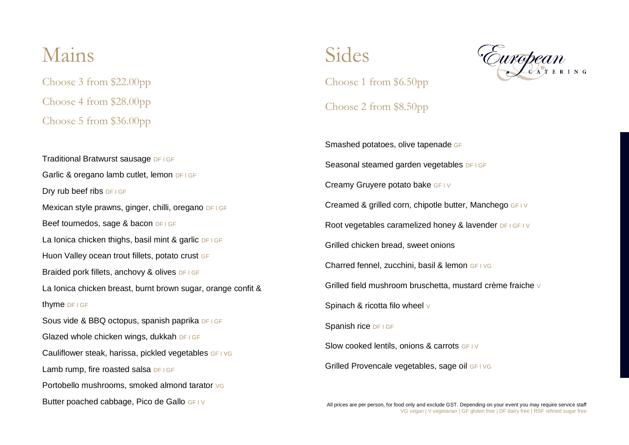## Mains

Choose 3 from \$22.00pp Choose 4 from \$28.00pp Choose 5 from \$36.00pp Sides Choose 1 from \$6.50pp



## Choose 2 from \$8.50pp

Traditional Bratwurst sausage DF I GF Garlic & oregano lamb cutlet, lemon DF I GF Dry rub beef ribs DF I GF Mexican style prawns, ginger, chilli, oregano DF I GF Beef tournedos, sage & bacon DF I GF La Ionica chicken thighs, basil mint & garlic DF I GF Huon Valley ocean trout fillets, potato crust GF Braided pork fillets, anchovy & olives DF I GF La Ionica chicken breast, burnt brown sugar, orange confit & thyme DF I GF Sous vide & BBQ octopus, spanish paprika DF I GF Glazed whole chicken wings, dukkah DF I GF Cauliflower steak, harissa, pickled vegetables GF I VG Lamb rump, fire roasted salsa DF I GF Portobello mushrooms, smoked almond tarator vG Butter poached cabbage, Pico de Gallo GF IV

Smashed potatoes, olive tapenade GF Seasonal steamed garden vegetables DF I GF Creamy Gruyere potato bake GF IV Creamed & grilled corn, chipotle butter, Manchego GF I V Root vegetables caramelized honey & lavender DF I GF I V Grilled chicken bread, sweet onions Charred fennel, zucchini, basil & lemon GF I VG Grilled field mushroom bruschetta, mustard crème fraiche V Spinach & ricotta filo wheel v Spanish rice DF I GF Slow cooked lentils, onions & carrots GF IV Grilled Provencale vegetables, sage oil GF I VG

All prices are per person, for food only and exclude GST. Depending on your event you may require service staff VG vegan | V vegetarian | GF gluten free | DF dairy free | RSF refined sugar free